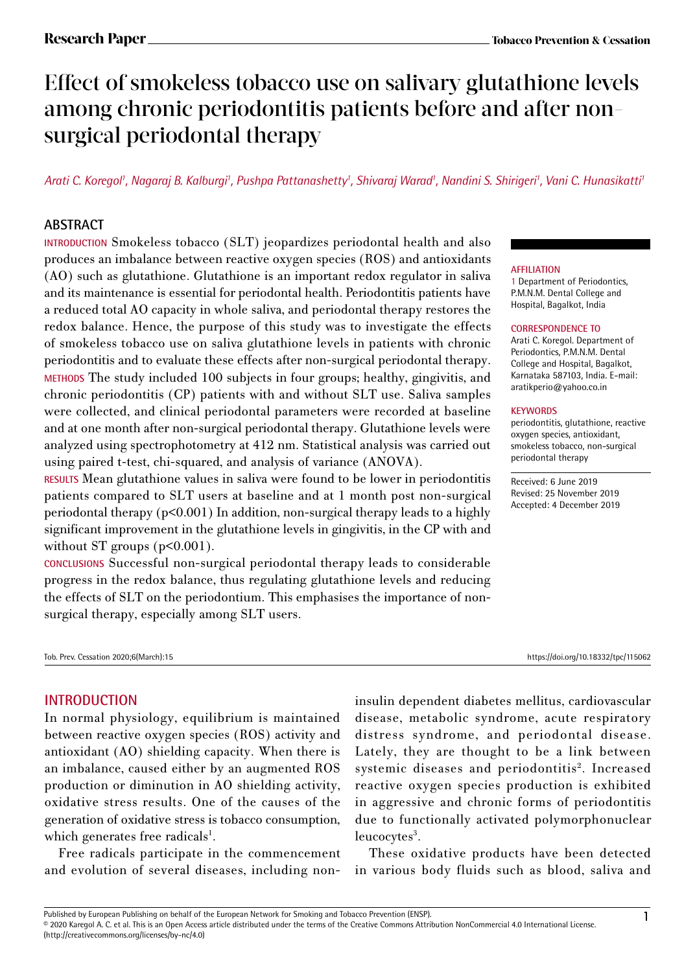# Effect of smokeless tobacco use on salivary glutathione levels among chronic periodontitis patients before and after nonsurgical periodontal therapy

*Arati C. Koregol1 , Nagaraj B. Kalburgi1 , Pushpa Pattanashetty1 , Shivaraj Warad1 , Nandini S. Shirigeri1 , Vani C. Hunasikatti1*

## **ABSTRACT**

**INTRODUCTION** Smokeless tobacco (SLT) jeopardizes periodontal health and also produces an imbalance between reactive oxygen species (ROS) and antioxidants (AO) such as glutathione. Glutathione is an important redox regulator in saliva and its maintenance is essential for periodontal health. Periodontitis patients have a reduced total AO capacity in whole saliva, and periodontal therapy restores the redox balance. Hence, the purpose of this study was to investigate the effects of smokeless tobacco use on saliva glutathione levels in patients with chronic periodontitis and to evaluate these effects after non-surgical periodontal therapy. **METHODS** The study included 100 subjects in four groups; healthy, gingivitis, and chronic periodontitis (CP) patients with and without SLT use. Saliva samples were collected, and clinical periodontal parameters were recorded at baseline and at one month after non-surgical periodontal therapy. Glutathione levels were analyzed using spectrophotometry at 412 nm. Statistical analysis was carried out using paired t-test, chi-squared, and analysis of variance (ANOVA).

**RESULTS** Mean glutathione values in saliva were found to be lower in periodontitis patients compared to SLT users at baseline and at 1 month post non-surgical periodontal therapy (p<0.001) In addition, non-surgical therapy leads to a highly significant improvement in the glutathione levels in gingivitis, in the CP with and without ST groups  $(p<0.001)$ .

**CONCLUSIONS** Successful non-surgical periodontal therapy leads to considerable progress in the redox balance, thus regulating glutathione levels and reducing the effects of SLT on the periodontium. This emphasises the importance of nonsurgical therapy, especially among SLT users.

Tob. Prev. Cessation 2020;6(March):15 https://doi.org/10.18332/tpc/115062

### **AFFILIATION**

1 Department of Periodontics, P.M.N.M. Dental College and Hospital, Bagalkot, India

### **CORRESPONDENCE TO**

Arati C. Koregol. Department of Periodontics, P.M.N.M. Dental College and Hospital, Bagalkot, Karnataka 587103, India. E-mail: aratikperio@yahoo.co.in

### **KEYWORDS**

periodontitis, glutathione, reactive oxygen species, antioxidant, smokeless tobacco, non-surgical periodontal therapy

Received: 6 June 2019 Revised: 25 November 2019 Accepted: 4 December 2019

### **INTRODUCTION**

In normal physiology, equilibrium is maintained between reactive oxygen species (ROS) activity and antioxidant (AO) shielding capacity. When there is an imbalance, caused either by an augmented ROS production or diminution in AO shielding activity, oxidative stress results. One of the causes of the generation of oxidative stress is tobacco consumption, which generates free radicals<sup>1</sup>.

Free radicals participate in the commencement and evolution of several diseases, including noninsulin dependent diabetes mellitus, cardiovascular disease, metabolic syndrome, acute respiratory distress syndrome, and periodontal disease. Lately, they are thought to be a link between systemic diseases and periodontitis<sup>2</sup>. Increased reactive oxygen species production is exhibited in aggressive and chronic forms of periodontitis due to functionally activated polymorphonuclear leucocytes<sup>3</sup>.

These oxidative products have been detected in various body fluids such as blood, saliva and

Published by European Publishing on behalf of the European Network for Smoking and Tobacco Prevention (ENSP).<br>© 2020 Karegol A. C. et al. This is an Open Access article distributed under the terms of the Creative Commons (http://creativecommons.org/licenses/by-nc/4.0)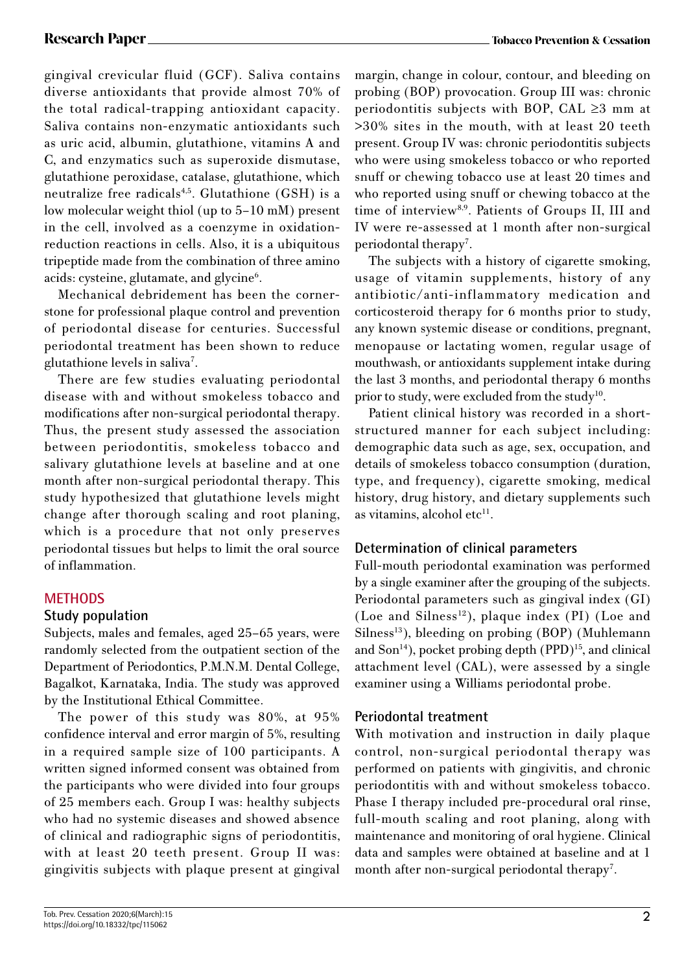gingival crevicular fluid (GCF). Saliva contains diverse antioxidants that provide almost 70% of the total radical-trapping antioxidant capacity. Saliva contains non-enzymatic antioxidants such as uric acid, albumin, glutathione, vitamins A and C, and enzymatics such as superoxide dismutase, glutathione peroxidase, catalase, glutathione, which neutralize free radicals<sup>4,5</sup>. Glutathione (GSH) is a low molecular weight thiol (up to 5–10 mM) present in the cell, involved as a coenzyme in oxidationreduction reactions in cells. Also, it is a ubiquitous tripeptide made from the combination of three amino acids: cysteine, glutamate, and glycine<sup>6</sup>.

Mechanical debridement has been the cornerstone for professional plaque control and prevention of periodontal disease for centuries. Successful periodontal treatment has been shown to reduce glutathione levels in saliva<sup>7</sup>.

There are few studies evaluating periodontal disease with and without smokeless tobacco and modifications after non-surgical periodontal therapy. Thus, the present study assessed the association between periodontitis, smokeless tobacco and salivary glutathione levels at baseline and at one month after non-surgical periodontal therapy. This study hypothesized that glutathione levels might change after thorough scaling and root planing, which is a procedure that not only preserves periodontal tissues but helps to limit the oral source of inflammation.

## **METHODS**

### **Study population**

Subjects, males and females, aged 25–65 years, were randomly selected from the outpatient section of the Department of Periodontics, P.M.N.M. Dental College, Bagalkot, Karnataka, India. The study was approved by the Institutional Ethical Committee.

The power of this study was 80%, at 95% confidence interval and error margin of 5%, resulting in a required sample size of 100 participants. A written signed informed consent was obtained from the participants who were divided into four groups of 25 members each. Group I was: healthy subjects who had no systemic diseases and showed absence of clinical and radiographic signs of periodontitis, with at least 20 teeth present. Group II was: gingivitis subjects with plaque present at gingival margin, change in colour, contour, and bleeding on probing (BOP) provocation. Group III was: chronic periodontitis subjects with BOP, CAL ≥3 mm at >30% sites in the mouth, with at least 20 teeth present. Group IV was: chronic periodontitis subjects who were using smokeless tobacco or who reported snuff or chewing tobacco use at least 20 times and who reported using snuff or chewing tobacco at the time of interview<sup>8,9</sup>. Patients of Groups II, III and IV were re-assessed at 1 month after non-surgical periodontal therapy<sup>7</sup>.

The subjects with a history of cigarette smoking, usage of vitamin supplements, history of any antibiotic/anti-inflammatory medication and corticosteroid therapy for 6 months prior to study, any known systemic disease or conditions, pregnant, menopause or lactating women, regular usage of mouthwash, or antioxidants supplement intake during the last 3 months, and periodontal therapy 6 months prior to study, were excluded from the study<sup>10</sup>.

Patient clinical history was recorded in a shortstructured manner for each subject including: demographic data such as age, sex, occupation, and details of smokeless tobacco consumption (duration, type, and frequency), cigarette smoking, medical history, drug history, and dietary supplements such as vitamins, alcohol etc $11$ .

## **Determination of clinical parameters**

Full-mouth periodontal examination was performed by a single examiner after the grouping of the subjects. Periodontal parameters such as gingival index (GI) (Loe and Silness<sup>12</sup>), plaque index (PI) (Loe and Silness<sup>13</sup>), bleeding on probing (BOP) (Muhlemann and Son<sup>14</sup>), pocket probing depth (PPD)<sup>15</sup>, and clinical attachment level (CAL), were assessed by a single examiner using a Williams periodontal probe.

### **Periodontal treatment**

With motivation and instruction in daily plaque control, non-surgical periodontal therapy was performed on patients with gingivitis, and chronic periodontitis with and without smokeless tobacco. Phase I therapy included pre-procedural oral rinse, full-mouth scaling and root planing, along with maintenance and monitoring of oral hygiene. Clinical data and samples were obtained at baseline and at 1 month after non-surgical periodontal therapy<sup>7</sup>.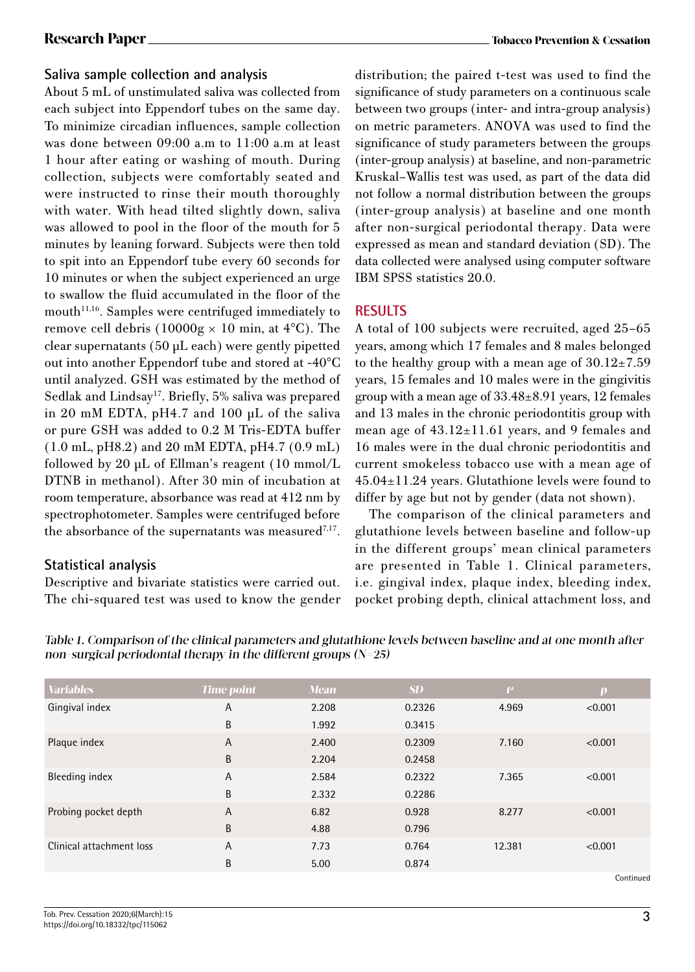### **Saliva sample collection and analysis**

About 5 mL of unstimulated saliva was collected from each subject into Eppendorf tubes on the same day. To minimize circadian influences, sample collection was done between 09:00 a.m to 11:00 a.m at least 1 hour after eating or washing of mouth. During collection, subjects were comfortably seated and were instructed to rinse their mouth thoroughly with water. With head tilted slightly down, saliva was allowed to pool in the floor of the mouth for 5 minutes by leaning forward. Subjects were then told to spit into an Eppendorf tube every 60 seconds for 10 minutes or when the subject experienced an urge to swallow the fluid accumulated in the floor of the mouth $11,16$ . Samples were centrifuged immediately to remove cell debris (10000g  $\times$  10 min, at 4°C). The clear supernatants (50 µL each) were gently pipetted out into another Eppendorf tube and stored at -40°C until analyzed. GSH was estimated by the method of Sedlak and Lindsay<sup>17</sup>. Briefly, 5% saliva was prepared in 20 mM EDTA, pH4.7 and 100 µL of the saliva or pure GSH was added to 0.2 M Tris-EDTA buffer (1.0 mL, pH8.2) and 20 mM EDTA, pH4.7 (0.9 mL) followed by 20  $\mu$ L of Ellman's reagent (10 mmol/L DTNB in methanol). After 30 min of incubation at room temperature, absorbance was read at 412 nm by spectrophotometer. Samples were centrifuged before the absorbance of the supernatants was measured<sup>7,17</sup>.

## **Statistical analysis**

Descriptive and bivariate statistics were carried out. The chi-squared test was used to know the gender distribution; the paired t-test was used to find the significance of study parameters on a continuous scale between two groups (inter- and intra-group analysis) on metric parameters. ANOVA was used to find the significance of study parameters between the groups (inter-group analysis) at baseline, and non-parametric Kruskal–Wallis test was used, as part of the data did not follow a normal distribution between the groups (inter-group analysis) at baseline and one month after non-surgical periodontal therapy. Data were expressed as mean and standard deviation (SD). The data collected were analysed using computer software IBM SPSS statistics 20.0.

## **RESULTS**

A total of 100 subjects were recruited, aged 25–65 years, among which 17 females and 8 males belonged to the healthy group with a mean age of  $30.12 \pm 7.59$ years, 15 females and 10 males were in the gingivitis group with a mean age of 33.48±8.91 years, 12 females and 13 males in the chronic periodontitis group with mean age of  $43.12 \pm 11.61$  years, and 9 females and 16 males were in the dual chronic periodontitis and current smokeless tobacco use with a mean age of 45.04±11.24 years. Glutathione levels were found to differ by age but not by gender (data not shown).

The comparison of the clinical parameters and glutathione levels between baseline and follow-up in the different groups' mean clinical parameters are presented in Table 1. Clinical parameters, i.e. gingival index, plaque index, bleeding index, pocket probing depth, clinical attachment loss, and

Table 1. Comparison of the clinical parameters and glutathione levels between baseline and at one month after non-surgical periodontal therapy in the different groups  $(N=25)$ 

| <b>Variables</b>         | <b>Time point</b> | <b>Mean</b> | <b>SD</b> | f <sup>2</sup> | p         |
|--------------------------|-------------------|-------------|-----------|----------------|-----------|
| Gingival index           | A                 | 2.208       | 0.2326    | 4.969          | < 0.001   |
|                          | B                 | 1.992       | 0.3415    |                |           |
| Plaque index             | A                 | 2.400       | 0.2309    | 7.160          | < 0.001   |
|                          | B                 | 2.204       | 0.2458    |                |           |
| Bleeding index           | A                 | 2.584       | 0.2322    | 7.365          | < 0.001   |
|                          | B                 | 2.332       | 0.2286    |                |           |
| Probing pocket depth     | A                 | 6.82        | 0.928     | 8.277          | < 0.001   |
|                          | B                 | 4.88        | 0.796     |                |           |
| Clinical attachment loss | A                 | 7.73        | 0.764     | 12.381         | < 0.001   |
|                          | B                 | 5.00        | 0.874     |                |           |
|                          |                   |             |           |                | Continued |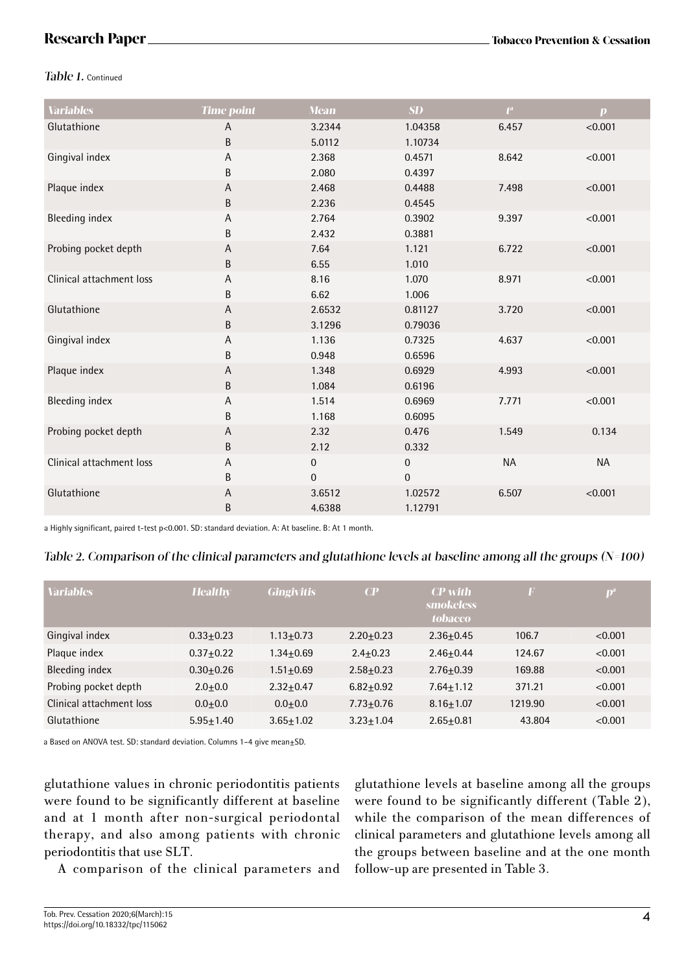### Table 1. Continued

| <b>Variables</b>         | <b>Time point</b> | <b>Mean</b>  | SD           | $f^a$     | $\mathbf{p}$ |
|--------------------------|-------------------|--------------|--------------|-----------|--------------|
| Glutathione              | A                 | 3.2344       | 1.04358      | 6.457     | < 0.001      |
|                          | B                 | 5.0112       | 1.10734      |           |              |
| Gingival index           | А                 | 2.368        | 0.4571       | 8.642     | < 0.001      |
|                          | B                 | 2.080        | 0.4397       |           |              |
| Plaque index             | A                 | 2.468        | 0.4488       | 7.498     | < 0.001      |
|                          | B                 | 2.236        | 0.4545       |           |              |
| <b>Bleeding index</b>    | Α                 | 2.764        | 0.3902       | 9.397     | < 0.001      |
|                          | B                 | 2.432        | 0.3881       |           |              |
| Probing pocket depth     | A                 | 7.64         | 1.121        | 6.722     | < 0.001      |
|                          | B                 | 6.55         | 1.010        |           |              |
| Clinical attachment loss | Α                 | 8.16         | 1.070        | 8.971     | < 0.001      |
|                          | B                 | 6.62         | 1.006        |           |              |
| Glutathione              | Α                 | 2.6532       | 0.81127      | 3.720     | < 0.001      |
|                          | B                 | 3.1296       | 0.79036      |           |              |
| Gingival index           | Α                 | 1.136        | 0.7325       | 4.637     | < 0.001      |
|                          | B                 | 0.948        | 0.6596       |           |              |
| Plaque index             | Α                 | 1.348        | 0.6929       | 4.993     | < 0.001      |
|                          | B                 | 1.084        | 0.6196       |           |              |
| <b>Bleeding index</b>    | Α                 | 1.514        | 0.6969       | 7.771     | < 0.001      |
|                          | B                 | 1.168        | 0.6095       |           |              |
| Probing pocket depth     | A                 | 2.32         | 0.476        | 1.549     | 0.134        |
|                          | B                 | 2.12         | 0.332        |           |              |
| Clinical attachment loss | A                 | $\mathbf{0}$ | $\mathbf 0$  | <b>NA</b> | <b>NA</b>    |
|                          | B                 | $\mathbf{0}$ | $\mathbf{0}$ |           |              |
| Glutathione              | Α                 | 3.6512       | 1.02572      | 6.507     | < 0.001      |
|                          | B                 | 4.6388       | 1.12791      |           |              |

a Highly significant, paired t-test p<0.001. SD: standard deviation. A: At baseline. B: At 1 month.

### Table 2. Comparison of the clinical parameters and glutathione levels at baseline among all the groups  $(N=100)$

| <b>Variables</b>         | <b>Healthy</b> | <b>Gingivitis</b> | $\overline{CP}$ | <b>CP</b> with<br><b>smokeless</b><br><b>tobacco</b> | F       | $\mathbf{D}^{\mathrm{a}}$ |
|--------------------------|----------------|-------------------|-----------------|------------------------------------------------------|---------|---------------------------|
| Gingival index           | $0.33 + 0.23$  | $1.13 + 0.73$     | $2.20 + 0.23$   | $2.36 + 0.45$                                        | 106.7   | < 0.001                   |
| Plaque index             | $0.37 + 0.22$  | 1.34+0.69         | $2.4 + 0.23$    | $2.46 + 0.44$                                        | 124.67  | < 0.001                   |
| Bleeding index           | $0.30 + 0.26$  | $1.51 + 0.69$     | $2.58 + 0.23$   | $2.76 + 0.39$                                        | 169.88  | < 0.001                   |
| Probing pocket depth     | $2.0 + 0.0$    | $2.32 + 0.47$     | $6.82 + 0.92$   | $7.64 + 1.12$                                        | 371.21  | < 0.001                   |
| Clinical attachment loss | $0.0 + 0.0$    | $0.0 + 0.0$       | $7.73 + 0.76$   | $8.16 + 1.07$                                        | 1219.90 | < 0.001                   |
| Glutathione              | $5.95 + 1.40$  | $3.65 + 1.02$     | $3.23 + 1.04$   | $2.65 + 0.81$                                        | 43.804  | < 0.001                   |

a Based on ANOVA test. SD: standard deviation. Columns 1-4 give mean $\pm$ SD.

glutathione values in chronic periodontitis patients were found to be significantly different at baseline and at 1 month after non-surgical periodontal therapy, and also among patients with chronic periodontitis that use SLT.

A comparison of the clinical parameters and

glutathione levels at baseline among all the groups were found to be significantly different (Table 2), while the comparison of the mean differences of clinical parameters and glutathione levels among all the groups between baseline and at the one month follow-up are presented in Table 3.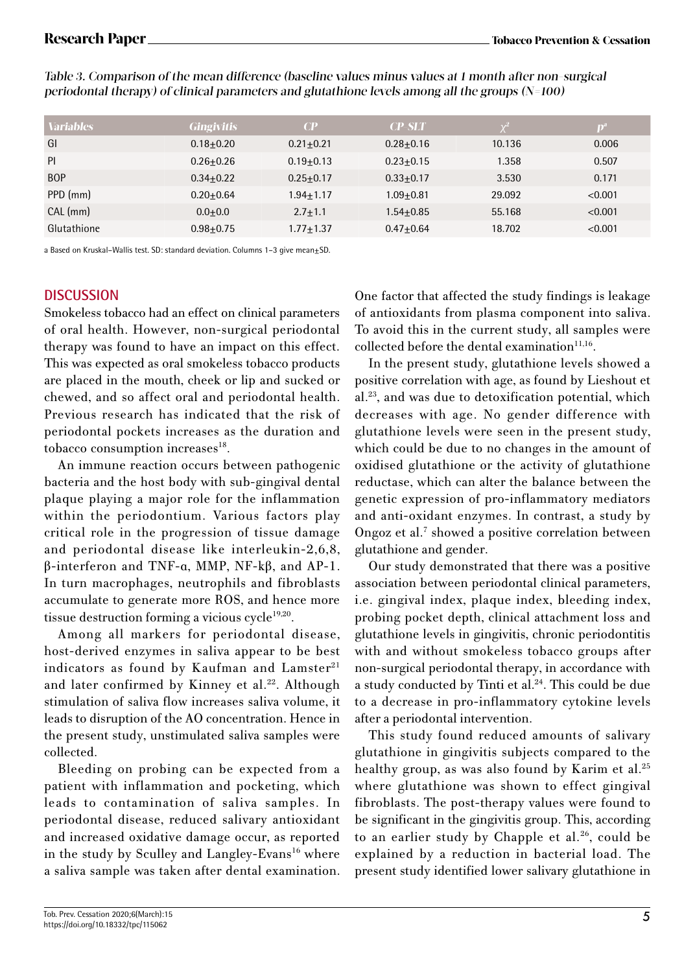| <b>Variables</b> | <b>Gingivitis</b> | $\bf CP$      | $CP$ -SLT     |        | D       |
|------------------|-------------------|---------------|---------------|--------|---------|
| GI               | $0.18 + 0.20$     | $0.21 + 0.21$ | $0.28 + 0.16$ | 10.136 | 0.006   |
| PI               | $0.26 + 0.26$     | $0.19 + 0.13$ | $0.23 + 0.15$ | 1.358  | 0.507   |
| <b>BOP</b>       | $0.34 + 0.22$     | $0.25 + 0.17$ | $0.33 + 0.17$ | 3.530  | 0.171   |
| PPD (mm)         | $0.20 + 0.64$     | $1.94 + 1.17$ | $1.09 + 0.81$ | 29.092 | < 0.001 |
| CAL (mm)         | $0.0 + 0.0$       | $2.7 + 1.1$   | $1.54 + 0.85$ | 55.168 | < 0.001 |
| Glutathione      | $0.98 + 0.75$     | $1.77 + 1.37$ | $0.47 + 0.64$ | 18.702 | < 0.001 |

Table 3. Comparison of the mean difference (baseline values minus values at 1 month after non-surgical periodontal therapy) of clinical parameters and glutathione levels among all the groups  $(N=100)$ 

a Based on Kruskal-Wallis test. SD: standard deviation. Columns 1-3 give mean±SD.

## **DISCUSSION**

Smokeless tobacco had an effect on clinical parameters of oral health. However, non-surgical periodontal therapy was found to have an impact on this effect. This was expected as oral smokeless tobacco products are placed in the mouth, cheek or lip and sucked or chewed, and so affect oral and periodontal health. Previous research has indicated that the risk of periodontal pockets increases as the duration and tobacco consumption increases<sup>18</sup>.

An immune reaction occurs between pathogenic bacteria and the host body with sub-gingival dental plaque playing a major role for the inflammation within the periodontium. Various factors play critical role in the progression of tissue damage and periodontal disease like interleukin-2,6,8, β-interferon and TNF-α, MMP, NF-kβ, and AP-1. In turn macrophages, neutrophils and fibroblasts accumulate to generate more ROS, and hence more tissue destruction forming a vicious  $cycle^{19,20}$ .

Among all markers for periodontal disease, host-derived enzymes in saliva appear to be best indicators as found by Kaufman and Lamster<sup>21</sup> and later confirmed by Kinney et al.<sup>22</sup>. Although stimulation of saliva flow increases saliva volume, it leads to disruption of the AO concentration. Hence in the present study, unstimulated saliva samples were collected.

Bleeding on probing can be expected from a patient with inflammation and pocketing, which leads to contamination of saliva samples. In periodontal disease, reduced salivary antioxidant and increased oxidative damage occur, as reported in the study by Sculley and Langley-Evans<sup>16</sup> where a saliva sample was taken after dental examination. One factor that affected the study findings is leakage of antioxidants from plasma component into saliva. To avoid this in the current study, all samples were collected before the dental examination $11,16$ .

In the present study, glutathione levels showed a positive correlation with age, as found by Lieshout et al.23, and was due to detoxification potential, which decreases with age. No gender difference with glutathione levels were seen in the present study, which could be due to no changes in the amount of oxidised glutathione or the activity of glutathione reductase, which can alter the balance between the genetic expression of pro-inflammatory mediators and anti-oxidant enzymes. In contrast, a study by Ongoz et al.<sup>7</sup> showed a positive correlation between glutathione and gender.

Our study demonstrated that there was a positive association between periodontal clinical parameters, i.e. gingival index, plaque index, bleeding index, probing pocket depth, clinical attachment loss and glutathione levels in gingivitis, chronic periodontitis with and without smokeless tobacco groups after non-surgical periodontal therapy, in accordance with a study conducted by Tinti et al.<sup>24</sup>. This could be due to a decrease in pro-inflammatory cytokine levels after a periodontal intervention.

This study found reduced amounts of salivary glutathione in gingivitis subjects compared to the healthy group, as was also found by Karim et al.<sup>25</sup> where glutathione was shown to effect gingival fibroblasts. The post-therapy values were found to be significant in the gingivitis group. This, according to an earlier study by Chapple et al.<sup>26</sup>, could be explained by a reduction in bacterial load. The present study identified lower salivary glutathione in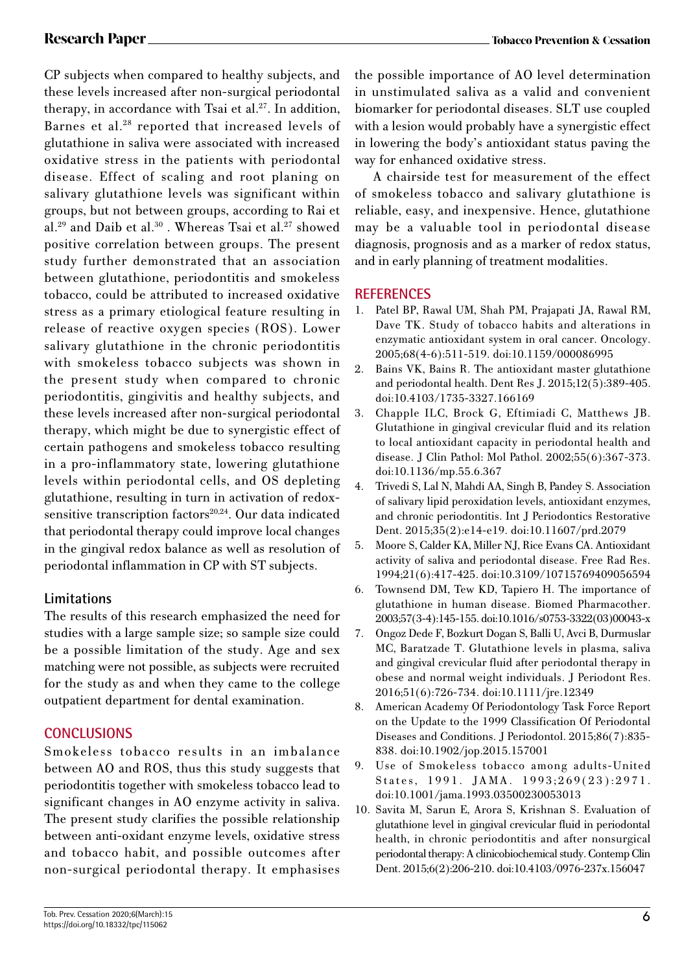CP subjects when compared to healthy subjects, and these levels increased after non-surgical periodontal therapy, in accordance with Tsai et al.<sup>27</sup>. In addition, Barnes et al.28 reported that increased levels of glutathione in saliva were associated with increased oxidative stress in the patients with periodontal disease. Effect of scaling and root planing on salivary glutathione levels was significant within groups, but not between groups, according to Rai et al.<sup>29</sup> and Daib et al.<sup>30</sup> . Whereas Tsai et al.<sup>27</sup> showed positive correlation between groups. The present study further demonstrated that an association between glutathione, periodontitis and smokeless tobacco, could be attributed to increased oxidative stress as a primary etiological feature resulting in release of reactive oxygen species (ROS). Lower salivary glutathione in the chronic periodontitis with smokeless tobacco subjects was shown in the present study when compared to chronic periodontitis, gingivitis and healthy subjects, and these levels increased after non-surgical periodontal therapy, which might be due to synergistic effect of certain pathogens and smokeless tobacco resulting in a pro-inflammatory state, lowering glutathione levels within periodontal cells, and OS depleting glutathione, resulting in turn in activation of redoxsensitive transcription factors<sup>20,24</sup>. Our data indicated that periodontal therapy could improve local changes in the gingival redox balance as well as resolution of periodontal inflammation in CP with ST subjects.

## **Limitations**

The results of this research emphasized the need for studies with a large sample size; so sample size could be a possible limitation of the study. Age and sex matching were not possible, as subjects were recruited for the study as and when they came to the college outpatient department for dental examination.

## **CONCLUSIONS**

Smokeless tobacco results in an imbalance between AO and ROS, thus this study suggests that periodontitis together with smokeless tobacco lead to significant changes in AO enzyme activity in saliva. The present study clarifies the possible relationship between anti-oxidant enzyme levels, oxidative stress and tobacco habit, and possible outcomes after non-surgical periodontal therapy. It emphasises

the possible importance of AO level determination in unstimulated saliva as a valid and convenient biomarker for periodontal diseases. SLT use coupled with a lesion would probably have a synergistic effect in lowering the body's antioxidant status paving the way for enhanced oxidative stress.

 A chairside test for measurement of the effect of smokeless tobacco and salivary glutathione is reliable, easy, and inexpensive. Hence, glutathione may be a valuable tool in periodontal disease diagnosis, prognosis and as a marker of redox status, and in early planning of treatment modalities.

## **REFERENCES**

- 1. Patel BP, Rawal UM, Shah PM, Prajapati JA, Rawal RM, Dave TK. Study of tobacco habits and alterations in enzymatic antioxidant system in oral cancer. Oncology. 2005;68(4-6):511-519. doi:10.1159/000086995
- 2. Bains VK, Bains R. The antioxidant master glutathione and periodontal health. Dent Res J. 2015;12(5):389-405. doi:10.4103/1735-3327.166169
- 3. Chapple ILC, Brock G, Eftimiadi C, Matthews JB. Glutathione in gingival crevicular fluid and its relation to local antioxidant capacity in periodontal health and disease. J Clin Pathol: Mol Pathol. 2002;55(6):367-373. doi:10.1136/mp.55.6.367
- 4. Trivedi S, Lal N, Mahdi AA, Singh B, Pandey S. Association of salivary lipid peroxidation levels, antioxidant enzymes, and chronic periodontitis. Int J Periodontics Restorative Dent. 2015;35(2):e14-e19. doi:10.11607/prd.2079
- 5. Moore S, Calder KA, Miller NJ, Rice Evans CA. Antioxidant activity of saliva and periodontal disease. Free Rad Res. 1994;21(6):417-425. doi:10.3109/10715769409056594
- 6. Townsend DM, Tew KD, Tapiero H. The importance of glutathione in human disease. Biomed Pharmacother. 2003;57(3-4):145-155. doi:10.1016/s0753-3322(03)00043-x
- 7. Ongoz Dede F, Bozkurt Dogan S, Balli U, Avci B, Durmuslar MC, Baratzade T. Glutathione levels in plasma, saliva and gingival crevicular fluid after periodontal therapy in obese and normal weight individuals. J Periodont Res. 2016;51(6):726-734. doi:10.1111/jre.12349
- 8. American Academy Of Periodontology Task Force Report on the Update to the 1999 Classification Of Periodontal Diseases and Conditions. J Periodontol. 2015;86(7):835- 838. doi:10.1902/jop.2015.157001
- 9. Use of Smokeless tobacco among adults-United States, 1991. JAMA.  $1993;269(23):2971$ . doi:10.1001/jama.1993.03500230053013
- 10. Savita M, Sarun E, Arora S, Krishnan S. Evaluation of glutathione level in gingival crevicular fluid in periodontal health, in chronic periodontitis and after nonsurgical periodontal therapy: A clinicobiochemical study. Contemp Clin Dent. 2015;6(2):206-210. doi:10.4103/0976-237x.156047